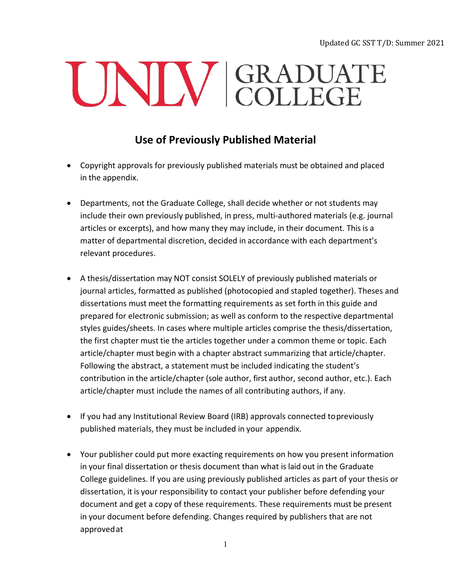Updated GC SST T/D: Summer 2021

## UNIV GRADUATE

## **Use of Previously Published Material**

- Copyright approvals for previously published materials must be obtained and placed in the appendix.
- Departments, not the Graduate College, shall decide whether or not students may include their own previously published, in press, multi‐authored materials (e.g. journal articles or excerpts), and how many they may include, in their document. This is a matter of departmental discretion, decided in accordance with each department's relevant procedures.
- A thesis/dissertation may NOT consist SOLELY of previously published materials or journal articles, formatted as published (photocopied and stapled together). Theses and dissertations must meet the formatting requirements as set forth in this guide and prepared for electronic submission; as well as conform to the respective departmental styles guides/sheets. In cases where multiple articles comprise the thesis/dissertation, the first chapter must tie the articles together under a common theme or topic. Each article/chapter must begin with a chapter abstract summarizing that article/chapter. Following the abstract, a statement must be included indicating the student's contribution in the article/chapter (sole author, first author, second author, etc.). Each article/chapter must include the names of all contributing authors, if any.
- If you had any Institutional Review Board (IRB) approvals connected topreviously published materials, they must be included in your appendix.
- Your publisher could put more exacting requirements on how you present information in your final dissertation or thesis document than what is laid out in the Graduate College guidelines. If you are using previously published articles as part of your thesis or dissertation, it is your responsibility to contact your publisher before defending your document and get a copy of these requirements. These requirements must be present in your document before defending. Changes required by publishers that are not approvedat